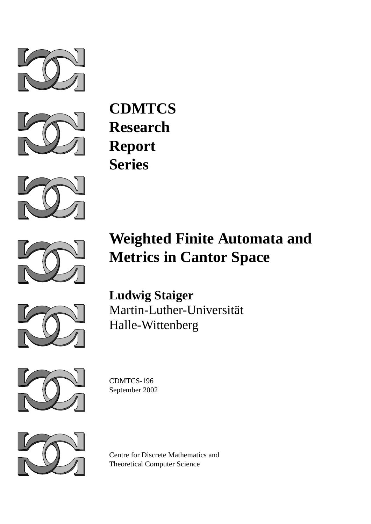



**CDMTCS Research Report Series**



# **Weighted Finite Automata and Metrics in Cantor Space**



**Ludwig Staiger** Martin-Luther-Universität Halle-Wittenberg



CDMTCS-196 September 2002



Centre for Discrete Mathematics and Theoretical Computer Science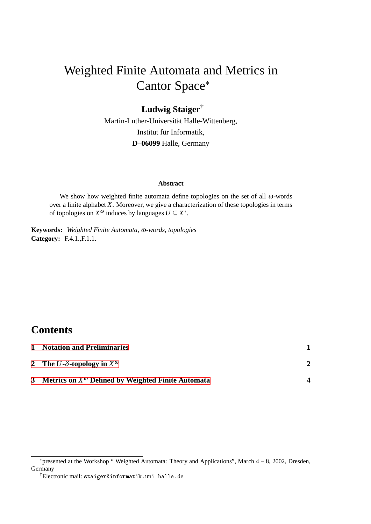# Weighted Finite Automata and Metrics in Cantor Space<sup>∗</sup>

### **Ludwig Staiger**†

Martin-Luther-Universität Halle-Wittenberg, Institut für Informatik, **D–06099** Halle, Germany

#### **Abstract**

We show how weighted finite automata define topologies on the set of all  $\omega$ -words over a finite alphabet *X*. Moreover, we give a characterization of these topologies in terms of topologies on  $X^{\omega}$  induces by languages  $U \subseteq X^*$ .

**Keywords:** *Weighted Finite Automata,* ω*-words, topologies* **Category:** F.4.1.,F.1.1.

#### **Contents**

| 1 Notation and Preliminaries                                  |  |
|---------------------------------------------------------------|--|
| 2 The U- $\delta$ -topology in $X^{\omega}$                   |  |
| 3 Metrics on $X^{\omega}$ Defined by Weighted Finite Automata |  |

<sup>∗</sup>presented at the Workshop " Weighted Automata: Theory and Applications", March 4 – 8, 2002, Dresden, Germany

<sup>†</sup>Electronic mail: staiger@informatik.uni-halle.de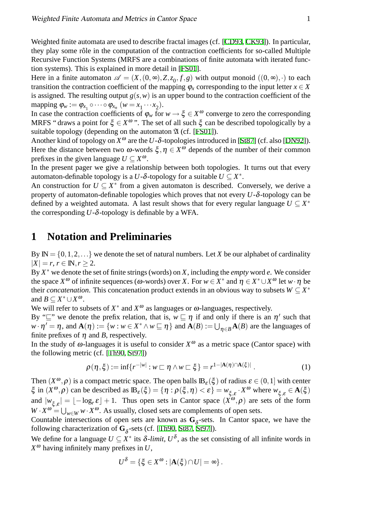Weighted finite automata are used to describe fractal images (cf. [\[CD93](#page-7-0), [CK93](#page-7-1)]). In particular, they play some rôle in the computation of the contraction coefficients for so-called Multiple Recursive Function Systems (MRFS are a combinations of finite automata with iterated function systems). This is explained in more detail in [\[FS01\]](#page-7-2).

Here in a finite automaton  $\mathscr{A} = (X, (0, \infty), Z, z_0, f, g)$  with output monoid  $((0, \infty), \cdot)$  to each transition the contraction coefficient of the mapping  $\varphi_x$  corresponding to the input letter  $x \in X$ is assigned. The resulting output  $g(s, w)$  is an upper bound to the contraction coefficient of the mapping  $\varphi_w := \varphi_{x_1} \circ \cdots \circ \varphi_{x_n} \quad (w = x_1 \cdots x_2).$ 

In case the contraction coefficients of  $\varphi_w$  for  $w \to \xi \in X^\omega$  converge to zero the corresponding MRFS " draws a point for  $\xi \in X^{\omega}$ ". The set of all such  $\xi$  can be described topologically by a suitable topology (depending on the automaton  $\mathfrak A$  (cf. [\[FS01](#page-7-2)]).

Another kind of topology on  $X^{\omega}$  are the *U*- $\delta$ -topologies introduced in [[St87](#page-7-3)] (cf. also [\[DN92](#page-7-4)]). Here the distance between two  $\omega$ -words  $\xi, \eta \in X^{\omega}$  depends of the number of their common prefixes in the given language  $U \subseteq X^{\omega}$ .

In the present pager we give a relationship between both topologies. It turns out that every automaton-definable topology is a *U*- $\delta$ -topology for a suitable  $U \subseteq X^*$ .

An construction for  $U \subseteq X^*$  from a given automaton is described. Conversely, we derive a property of automaton-definable topologies which proves that not every *U*-δ-topology can be defined by a weighted automata. A last result shows that for every regular language  $U \subseteq X^*$ the corresponding  $U$ - $\delta$ -topology is definable by a WFA.

#### <span id="page-2-0"></span>**1 Notation and Preliminaries**

By  $\mathbb{N} = \{0, 1, 2, \ldots\}$  we denote the set of natural numbers. Let *X* be our alphabet of cardinality  $|X| = r, r \in \mathbb{N}, r > 2.$ 

By *X* <sup>∗</sup> we denote the set of finite strings (words) on *X*, including the *empty* word *e*. We consider the space  $X^{\omega}$  of infinite sequences ( $\omega$ -words) over *X*. For  $w \in X^*$  and  $\eta \in X^* \cup X^{\omega}$  let  $w \cdot \eta$  be their *concatenation*. This concatenation product extends in an obvious way to subsets  $W \subseteq X^*$ and  $B \subseteq X^* \cup X^{\omega}$ .

We will refer to subsets of  $X^*$  and  $X^{\omega}$  as languages or  $\omega$ -languages, respectively.

By " $\sqsubseteq$ " we denote the prefix relation, that is,  $w \sqsubseteq \eta$  if and only if there is an  $\eta'$  such that  $w \cdot \eta' = \eta$ , and  $\mathbf{A}(\eta) := \{w : w \in X^* \wedge w \sqsubseteq \eta\}$  and  $\mathbf{A}(B) := \bigcup_{\eta \in B} \mathbf{A}(B)$  are the languages of finite prefixes of  $\eta$  and *B*, respectively.

In the study of  $\omega$ -languages it is useful to consider  $X^{\omega}$  as a metric space (Cantor space) with the following metric (cf. [\[Th90,](#page-7-5) [St97](#page-7-6)])

$$
\rho(\eta,\xi) := \inf \{ r^{-|w|} : w \sqsubset \eta \wedge w \sqsubset \xi \} = r^{1-|\mathbf{A}(\eta) \cap \mathbf{A}(\xi)|} . \tag{1}
$$

Then  $(X^{\omega}, \rho)$  is a compact metric space. The open balls  $\mathbb{B}_{\varepsilon}(\xi)$  of radius  $\varepsilon \in (0,1]$  with center  $\xi$  in  $(X^{\omega}, \rho)$  can be described as  $\mathbb{B}_{\varepsilon}(\xi) = \{\eta : \rho(\xi, \eta) < \varepsilon\} = w_{\xi, \varepsilon} \cdot X^{\omega}$  where  $w_{\xi, \varepsilon} \in \mathbf{A}(\xi)$ and  $|w_{\xi,\varepsilon}| = \lfloor -\log_{r} \varepsilon \rfloor + 1$ . Thus open sets in Cantor space  $(\overrightarrow{X}^{\omega}, \rho)$  are sets of the form  $W \cdot X^{\omega} = \bigcup_{w \in W} w \cdot X^{\omega}$ . As usually, closed sets are complements of open sets.

Countable intersections of open sets are known as  $G_{\delta}$ -sets. In Cantor space, we have the following characterization of  $G_{\delta}$ -sets (cf. [[Th90,](#page-7-5) [St87,](#page-7-3) [St97\]](#page-7-6)).

<span id="page-2-1"></span>We define for a language  $U \subseteq X^*$  its  $\delta$ -*limit*,  $U^{\delta}$ , as the set consisting of all infinite words in  $X^{\omega}$  having infinitely many prefixes in U,

$$
U^{\delta} = \{ \xi \in X^{\omega} : |\mathbf{A}(\xi) \cap U| = \infty \}.
$$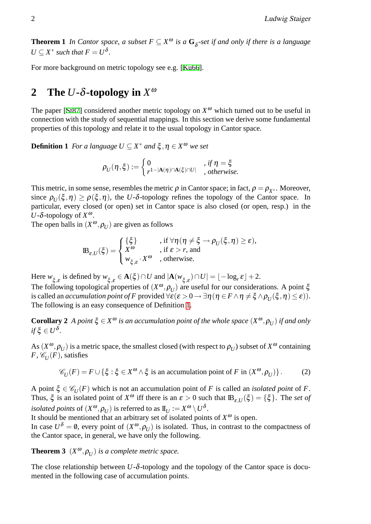**Theorem 1** *In Cantor space, a subset*  $F \subseteq X^{\omega}$  *is a*  $G_{\delta}$ -set *if and only if there is a language*  $U \subseteq X^*$  *such that*  $F = U^{\delta}$ *.* 

For more background on metric topology see e.g. [[Ku66](#page-7-7)].

# <span id="page-3-0"></span>**2** The *U***-** $\delta$ **-topology** in  $X^{\omega}$

The paper [[St87\]](#page-7-3) considered another metric topology on  $X^{\omega}$  which turned out to be useful in connection with the study of sequential mappings. In this section we derive some fundamental properties of this topology and relate it to the usual topology in Cantor space.

<span id="page-3-1"></span>**Definition 1** *For a language*  $U \subseteq X^*$  *and*  $\xi, \eta \in X^{\omega}$  *we set* 

$$
\rho_U(\eta,\xi) := \begin{cases} 0 & , \text{ if } \eta = \xi \\ r^{1-|\mathbf{A}(\eta) \cap \mathbf{A}(\xi) \cap U|} & , \text{ otherwise.} \end{cases}
$$

This metric, in some sense, resembles the metric  $\rho$  in Cantor space; in fact,  $\rho = \rho_{X^*}$ . Moreover, since  $\rho_U(\xi, \eta) \ge \rho(\xi, \eta)$ , the *U*- $\delta$ -topology refines the topology of the Cantor space. In particular, every closed (or open) set in Cantor space is also closed (or open, resp.) in the *U*-δ-topology of *X* ω.

The open balls in  $(X^{\omega}, \rho_U)$  are given as follows

$$
\mathbb{B}_{\varepsilon,U}(\xi) = \begin{cases} \{\xi\} & \text{, if } \forall \eta\, (\eta \neq \xi \to \rho_U(\xi,\eta) \geq \varepsilon),\\ X^\omega & \text{, if } \varepsilon > r \text{, and} \\ w_{\xi,\varepsilon} \cdot X^\omega & \text{, otherwise.} \end{cases}
$$

Here  $w_{\xi, \varepsilon}$  is defined by  $w_{\xi, \varepsilon} \in \mathbf{A}(\xi) \cap U$  and  $|\mathbf{A}(w_{\xi, \varepsilon}) \cap U| = \lfloor -\log_{r} \varepsilon \rfloor + 2$ .

The following topological properties of  $(X^{\omega}, \rho_U)$  are useful for our considerations. A point  $\xi$ is called an *accumulation point of F* provided  $\forall \varepsilon (\varepsilon > 0 \to \exists \eta (\eta \in F \land \eta \neq \xi \land \rho_U(\xi, \eta) \leq \varepsilon)).$ The following is an easy consequence of Definition [1.](#page-3-1)

**Corollary 2** *A point*  $\xi \in X^{\omega}$  *is an accumulation point of the whole space*  $(X^{\omega}, \rho_U)$  *if and only*  $if \xi \in U^{\delta}$ .

As  $(X^{\omega}, \rho_U)$  is a metric space, the smallest closed (with respect to  $\rho_U$ ) subset of  $X^{\omega}$  containing *F*,  $\mathscr{C}_U(F)$ , satisfies

<span id="page-3-2"></span>
$$
\mathscr{C}_U(F) = F \cup \{ \xi : \xi \in X^\omega \wedge \xi \text{ is an accumulation point of } F \text{ in } (X^\omega, \rho_U) \}. \tag{2}
$$

A point  $\xi \in \mathcal{C}_U(F)$  which is not an accumulation point of *F* is called an *isolated point* of *F*. Thus,  $\xi$  is an isolated point of  $X^{\omega}$  iff there is an  $\varepsilon > 0$  such that  $\mathbb{B}_{\varepsilon,U}(\xi) = {\xi}$ . The *set of isolated points* of  $(X^{\omega}, \rho_U)$  is referred to as  $\mathbb{I}_U := X^{\omega} \setminus U^{\delta}$ .

It should be mentioned that an arbitrary set of isolated points of  $X^{\omega}$  is open.

In case  $U^{\delta} = \emptyset$ , every point of  $(X^{\omega}, \rho_U)$  is isolated. Thus, in contrast to the compactness of the Cantor space, in general, we have only the following.

**Theorem 3**  $(X^{\omega}, \rho_U)$  *is a complete metric space.* 

The close relationship between *U*-δ-topology and the topology of the Cantor space is documented in the following case of accumulation points.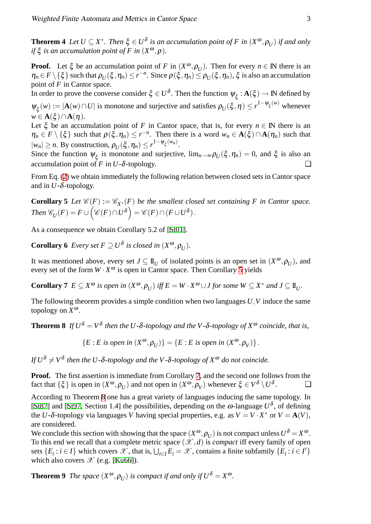**Theorem 4** Let  $U \subseteq X^*$ . Then  $\xi \in U^{\delta}$  is an accumulation point of F in  $(X^{\omega}, \rho_U)$  if and only *if*  $\xi$  *is an accumulation point of F in*  $(X^{\omega}, \rho)$ *.* 

**Proof.** Let  $\xi$  be an accumulation point of *F* in  $(X^{\omega}, \rho_U)$ . Then for every  $n \in \mathbb{N}$  there is an  $\eta_n \in F \setminus \{\xi\}$  such that  $\rho_U(\xi, \eta_n) \le r^{-n}$ . Since  $\rho(\xi, \eta_n) \le \rho_U(\xi, \eta_n)$ ,  $\xi$  is also an accumulation point of *F* in Cantor space.

In order to prove the converse consider  $\xi \in U^{\delta}$ . Then the function  $\psi_{\xi} : A(\xi) \to \mathbb{N}$  defined by  $\Psi_{\xi}(w) := |\mathbf{A}(w) \cap U|$  is monotone and surjective and satisfies  $\rho_U(\xi, \eta) \leq r^{1-\psi_{\xi}(w)}$  whenever

 $w \in \mathbf{A}(\xi) \cap \mathbf{A}(\eta)$ .

Let  $\xi$  be an accumulation point of *F* in Cantor space, that is, for every  $n \in \mathbb{N}$  there is an  $\eta_n \in F \setminus \{\xi\}$  such that  $\rho(\xi, \eta_n) \leq r^{-n}$ . Then there is a word  $w_n \in \mathbf{A}(\xi) \cap \mathbf{A}(\eta_n)$  such that  $|w_n| \ge n$ . By construction,  $\rho_U(\xi, \eta_n) \le r^{1-\psi_{\xi}(w_n)}$ .

Since the function  $\psi_{\xi}$  is monotone and surjective,  $\lim_{n\to\infty} \rho_U(\xi,\eta_n) = 0$ , and  $\xi$  is also an accumulation point of *F* in *U*- $\delta$ -topology.

<span id="page-4-0"></span>From Eq. [\(2](#page-3-2)) we obtain immediately the following relation between closed sets in Cantor space and in  $U$ - $\delta$ -topology.

**Corollary 5** *Let*  $\mathcal{C}(F) := \mathcal{C}_{X^*}(F)$  *be the smallest closed set containing F in Cantor space.*  $\mathcal{L}$   $Then \ \mathscr{C}_U(F) = F \cup \Big(\mathscr{C}(F) \cap U^\delta\Big) = \mathscr{C}(F) \cap (F \cup U^\delta)\,.$ 

As a consequence we obtain Corollary 5.2 of [\[St01](#page-7-8)].

**Corollary 6** *Every set*  $F \supseteq U^{\delta}$  *is closed in*  $(X^{\omega}, \rho_U)$ *.* 

It was mentioned above, every set  $J \subseteq \mathbb{I}_U$  of isolated points is an open set in  $(X^{\omega}, \rho_U)$ , and every set of the form  $W \cdot X^{\omega}$  is open in Cantor space. Then Corollary [5](#page-4-0) yields

**Corollary 7**  $E \subseteq X^{\omega}$  is open in  $(X^{\omega}, \rho_U)$  iff  $E = W \cdot X^{\omega} \cup J$  for some  $W \subseteq X^*$  and  $J \subseteq \mathbb{I}_U$ .

The following theorem provides a simple condition when two languages *U*,*V* induce the same topology on *X* ω.

**Theorem 8** If  $U^{\delta} = V^{\delta}$  then the U- $\delta$ -topology and the V- $\delta$ -topology of  $X^{\omega}$  coincide, that is,

<span id="page-4-2"></span><span id="page-4-1"></span> ${E : E \text{ is open in } (X^{\omega}, \rho_U) } = {E : E \text{ is open in } (X^{\omega}, \rho_V) }$ .

*If*  $U^{\delta} \neq V^{\delta}$  then the U- $\delta$ -topology and the V- $\delta$ -topology of  $X^{\omega}$  do not coincide.

**Proof.** The first assertion is immediate from Corollary [7,](#page-4-1) and the second one follows from the fact that  $\{\xi\}$  is open in  $(X^{\omega}, \rho_U)$  and not open in  $(X^{\omega}, \rho_V)$  whenever  $\xi \in V^{\delta} \setminus U^{\delta}$  $\Box$ 

According to Theorem [8](#page-4-2) one has a great variety of languages inducing the same topology. In [\[St87\]](#page-7-3) and [[St97,](#page-7-6) Section 1.4] the possibilities, depending on the  $\omega$ -language  $U^{\delta}$ , of defining the *U*- $\delta$ -topology via languages *V* having special properties, e.g. as  $V = V \cdot X^*$  or  $V = A(V)$ , are considered.

We conclude this section with showing that the space  $(X^{\omega}, \rho_U)$  is not compact unless  $U^{\delta} = X^{\omega}$ . To this end we recall that a complete metric space  $(\mathcal{X}, d)$  is *compact* iff every family of open sets  $\{E_i : i \in I\}$  which covers  $\mathscr{X}$ , that is,  $\bigcup_{i \in I} E_i = \mathscr{X}$ , contains a finite subfamily  $\{E_i : i \in I'\}$ which also covers  $\mathscr{X}$  (e.g. [[Ku66](#page-7-7)]).

**Theorem 9** *The space*  $(X^{\omega}, \rho_U)$  *is compact if and only if*  $U^{\delta} = X^{\omega}$ *.*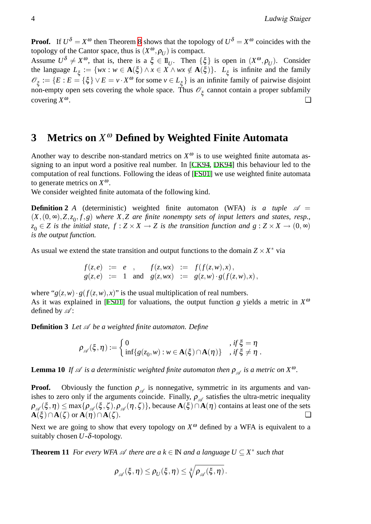**Proof.** If  $U^{\delta} = X^{\omega}$  then Theorem [8](#page-4-2) shows that the topology of  $U^{\delta} = X^{\omega}$  coincides with the topology of the Cantor space, thus is  $(X^{\omega}, \rho_U)$  is compact.

Assume  $U^{\delta} \neq X^{\omega}$ , that is, there is a  $\xi \in \mathbb{I}_U$ . Then  $\{\xi\}$  is open in  $(X^{\omega}, \rho_U)$ . Consider the language  $L_{\xi} := \{ wx : w \in \mathbf{A}(\xi) \land x \in X \land wx \notin \mathbf{A}(\xi) \}$ .  $L_{\xi}$  is infinite and the family  $\mathscr{O}_{\xi} := \{ E : E = \{\xi\} \vee E = v \cdot X^{\omega} \text{ for some } v \in L_{\xi} \}$  is an infinite family of pairwise disjoint non-empty open sets covering the whole space. Thus  $\mathscr{O}_{\xi}$  cannot contain a proper subfamily covering  $X^{\omega}$ .  $\omega$ .

# <span id="page-5-0"></span>**3 Metrics on** *X* <sup>ω</sup> **Defined by Weighted Finite Automata**

Another way to describe non-standard metrics on  $X^{\omega}$  is to use weighted finite automata assigning to an input word a positive real number. In [[CK94](#page-7-9), [DK94](#page-7-10)] this behaviour led to the computation of real functions. Following the ideas of [[FS01](#page-7-2)] we use weighted finite automata to generate metrics on *X* ω.

We consider weighted finite automata of the following kind.

**Definition 2** *A* (deterministic) weighted finite automaton (WFA) is a tuple  $\mathscr{A}$  =  $(X, (0, \infty), Z, z_0, f, g)$  where  $X, Z$  are finite nonempty sets of input letters and states, resp.,  $z_0 \in Z$  is the initial state,  $f : Z \times X \to Z$  is the transition function and  $g : Z \times X \to (0, \infty)$ *is the output function.*

As usual we extend the state transition and output functions to the domain  $Z \times X^*$  via

$$
f(z,e) := e
$$
,  $f(z,wx) := f(f(z,w),x)$ ,  
\n $g(z,e) := 1$  and  $g(z,wx) := g(z,w) \cdot g(f(z,w),x)$ ,

where " $g(z, w) \cdot g(f(z, w), x)$ " is the usual multiplication of real numbers. As it was explained in [\[FS01\]](#page-7-2) for valuations, the output function *g* yields a metric in  $X^{\alpha}$ defined by  $\mathscr{A}$ :

**Definition 3** *Let*  $\mathcal A$  *be a weighted finite automaton. Define* 

$$
\rho_{\mathscr{A}}(\xi,\eta) := \begin{cases} 0 & , \text{ if } \xi = \eta \\ \inf\{g(z_0,w) : w \in \mathbf{A}(\xi) \cap \mathbf{A}(\eta)\} & , \text{ if } \xi \neq \eta \end{cases}.
$$

**Lemma 10** If  $\mathscr A$  is a deterministic weighted finite automaton then  $\rho_{\mathscr A}$  is a metric on  $X^{\omega}$ .

**Proof.** Obviously the function  $\rho_{\mathscr{A}}$  is nonnegative, symmetric in its arguments and vanishes to zero only if the arguments coincide. Finally,  $\rho_{\mathscr{A}}$  satisfies the ultra-metric inequality  $\rho_{\mathscr{A}}(\xi, \eta) \leq \max\{\rho_{\mathscr{A}}(\xi, \zeta), \rho_{\mathscr{A}}(\eta, \zeta)\}\,$ , because  $\mathbf{A}(\xi) \cap \mathbf{A}(\eta)$  contains at least one of the sets  $\mathbf{A}(\xi) \cap \mathbf{A}(\zeta)$  or  $\mathbf{A}(\eta) \cap \mathbf{A}(\zeta)$ .

Next we are going to show that every topology on  $X^{\omega}$  defined by a WFA is equivalent to a suitably chosen  $U - \delta$ -topology.

**Theorem 11** *For every WFA*  $\mathscr A$  *there are a*  $k \in \mathbb N$  *and a language*  $U \subseteq X^*$  *such that* 

<span id="page-5-1"></span>
$$
\rho_{\mathscr{A}}(\xi,\eta) \leq \rho_U(\xi,\eta) \leq \sqrt[k]{\rho_{\mathscr{A}}(\xi,\eta)}.
$$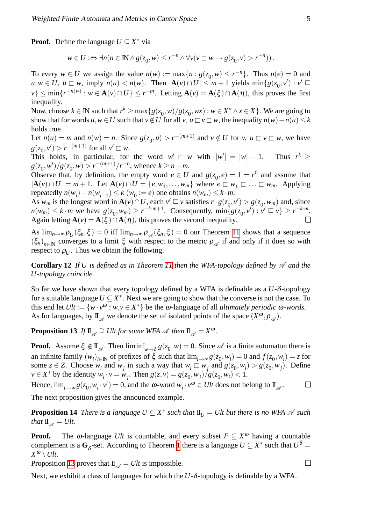**Proof.** Define the language  $U \subseteq X^*$  via

$$
w \in U : \Leftrightarrow \exists n (n \in \mathbb{N} \land g(z_0, w) \leq r^{-n} \land \forall v (v \sqsubset w \to g(z_0, v) > r^{-n})).
$$

To every  $w \in U$  we assign the value  $n(w) := \max\{n : g(z_0, w) \le r^{-n}\}\)$ . Thus  $n(e) = 0$  and  $u, w \in U$ ,  $u \sqsubset w$ , imply  $n(u) < n(w)$ . Then  $|\mathbf{A}(v) \cap U| \leq m+1$  yields  $\min\{g(z_0, v') : v' \sqsubseteq v\}$  $\nu$ }  $\leq \min\{r^{-n(w)} : w \in \mathbf{A}(v) \cap U\} \leq r^{-m}$ . Letting  $\mathbf{A}(v) = \mathbf{A}(\xi) \cap \mathbf{A}(\eta)$ , this proves the first inequality.

Now, choose  $k \in \mathbb{N}$  such that  $r^k \ge \max\{g(z_0, w)/g(z_0, wx) : w \in X^* \land x \in X\}$ . We are going to show that for words  $u, w \in U$  such that  $v \notin U$  for all  $v, u \subset v \subset w$ , the inequality  $n(w) - n(u) \leq k$ holds true.

Let  $n(u) = m$  and  $n(w) = n$ . Since  $g(z_0, u) > r^{-(m+1)}$  and  $v \notin U$  for  $v, u \sqsubset v \sqsubset w$ , we have  $g(z_0, v') > r^{-(m+1)}$  for all  $v' \sqsubset w$ .

This holds, in particular, for the word  $w' \sqsubset w$  with  $|w'| = |w| - 1$ . Thus  $r^k \ge$  $g(z_0, w')/g(z_0, w) > r^{-(m+1)}/r^{-n}$ , whence  $k \ge n - m$ .

Observe that, by definition, the empty word  $e \in U$  and  $g(z_0, e) = 1 = r^0$  and assume that  $|{\bf A}(v) \cap U| = m + 1$ . Let  ${\bf A}(v) \cap U = \{e, w_1, \ldots, w_m\}$  where  $e \subset w_1 \subset \ldots \subset w_m$ . Applying repeatedly  $n(w_i) - n(w_{i-1}) \le k(w_0 := e)$  one obtains  $n(w_m) \le k \cdot m$ .

As  $w_m$  is the longest word in  $\mathbf{A}(v) \cap U$ , each  $v' \sqsubseteq v$  satisfies  $\overline{r \cdot g(z_0, v')} > g(z_0, w_m)$  and, since  $n(w_m) \le k \cdot m$  we have  $g(z_0, w_m) \ge r^{-k-m+1}$ . Consequently,  $\min\{g(z_0, v') : v' \sqsubseteq v\} \ge r^{-k \cdot m}$ . Again letting  $\mathbf{A}(v) = \mathbf{A}(\xi) \cap \mathbf{A}(\eta)$ , this proves the second inequality.

As  $\lim_{n\to\infty} \rho_U(\xi_n,\xi) = 0$  iff  $\lim_{n\to\infty} \rho_{\mathscr{A}}(\xi_n,\xi) = 0$  our Theorem [11](#page-5-1) shows that a sequence  $(\xi_n)_{n\in\mathbb{N}}$  converges to a limit  $\xi$  with respect to the metric  $\rho_{\mathscr{A}}$  if and only if it does so with respect to  $\rho_U$ . Thus we obtain the following.

**Corollary 12** *If U is defined as in Theorem [11](#page-5-1) then the WFA-topology defined by*  $\mathscr A$  *and the U-topology coincide.*

So far we have shown that every topology defined by a WFA is definable as a  $U$ - $\delta$ -topology for a suitable language  $U \subseteq X^*$ . Next we are going to show that the converse is not the case. To this end let  $Ult := \{w \cdot v^{\omega} : w, v \in X^*\}$  be the  $\omega$ -language of all *ultimately periodic*  $\omega$ -words. As for languages, by  $\mathbb{I}_{\mathscr{A}}$  we denote the set of isolated points of the space  $(X^{\omega}, \rho_{\mathscr{A}})$ .

**Proposition 13** *If*  $\mathbb{I}_{\mathscr{A}} \supseteq$  *Ult for some WFA*  $\mathscr{A}$  *then*  $\mathbb{I}_{\mathscr{A}} = X^{\omega}$ *.* 

**Proof.** Assume  $\xi \notin \mathbb{I}_{\mathscr{A}}$ . Then  $\liminf_{w \to \xi} g(z_0, w) = 0$ . Since  $\mathscr{A}$  is a finite automaton there is an infinite family  $(w_i)_{i \in \mathbb{N}}$  of prefixes of  $\xi$  such that  $\lim_{i \to \infty} g(z_0, w_i) = 0$  and  $f(z_0, w_i) = z$  for some  $z \in Z$ . Choose  $w_i$  and  $w_j$  in such a way that  $w_i \subseteq w_j$  and  $g(z_0, w_i) > g(z_0, w_j)$ . Define  $v \in X^*$  by the identity  $w_i \cdot v = w_j$ . Then  $g(z, v) = g(z_0, w_j)/g(z_0, w_i) < 1$ .

Hence,  $\lim_{l\to\infty} g(z_0, w_i \cdot v^l) = 0$ , and the  $\omega$ -word  $w_i \cdot v^{\omega} \in Ult$  does not belong to  $\mathbb{I}_{\mathscr{A}}$  $\Box$ 

The next proposition gives the announced example.

**Proposition 14** *There is a language*  $U \subseteq X^*$  *such that*  $\mathbf{I}_{U} = Ult$  *but there is no WFA*  $\mathscr A$  *such that*  $\mathbf{I}_{\mathcal{A}} = \mathbf{U}$ *lt.* 

**Proof.** The  $\omega$ -language *Ult* is countable, and every subset  $F \subseteq X^{\omega}$  having a countable complement is a  $G_{\delta}$ -set. According to Theorem [1](#page-2-1) there is a language  $U \subseteq X^*$  such that  $U^{\delta} =$  $X^{\omega} \setminus \mathcal{U}$ t.

Proposition [13](#page-6-0) proves that  $\mathbf{I}_{\alpha} = U/t$  is impossible.  $\Box$ 

Next, we exhibit a class of languages for which the *U*-δ-topology is definable by a WFA.

<span id="page-6-0"></span>